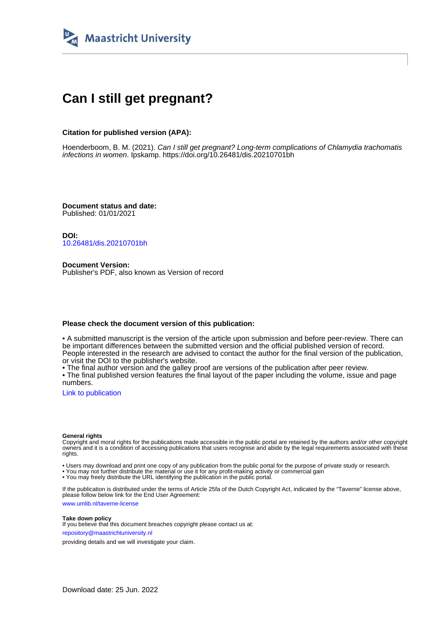

# **Can I still get pregnant?**

## **Citation for published version (APA):**

Hoenderboom, B. M. (2021). Can I still get pregnant? Long-term complications of Chlamydia trachomatis infections in women. Ipskamp. <https://doi.org/10.26481/dis.20210701bh>

**Document status and date:** Published: 01/01/2021

**DOI:** [10.26481/dis.20210701bh](https://doi.org/10.26481/dis.20210701bh)

**Document Version:** Publisher's PDF, also known as Version of record

### **Please check the document version of this publication:**

• A submitted manuscript is the version of the article upon submission and before peer-review. There can be important differences between the submitted version and the official published version of record. People interested in the research are advised to contact the author for the final version of the publication, or visit the DOI to the publisher's website.

• The final author version and the galley proof are versions of the publication after peer review.

• The final published version features the final layout of the paper including the volume, issue and page numbers.

[Link to publication](https://cris.maastrichtuniversity.nl/en/publications/41d24350-6e75-4094-86a1-1e05c82699de)

#### **General rights**

Copyright and moral rights for the publications made accessible in the public portal are retained by the authors and/or other copyright owners and it is a condition of accessing publications that users recognise and abide by the legal requirements associated with these rights.

• Users may download and print one copy of any publication from the public portal for the purpose of private study or research.

• You may not further distribute the material or use it for any profit-making activity or commercial gain

• You may freely distribute the URL identifying the publication in the public portal.

If the publication is distributed under the terms of Article 25fa of the Dutch Copyright Act, indicated by the "Taverne" license above, please follow below link for the End User Agreement:

www.umlib.nl/taverne-license

#### **Take down policy**

If you believe that this document breaches copyright please contact us at: repository@maastrichtuniversity.nl

providing details and we will investigate your claim.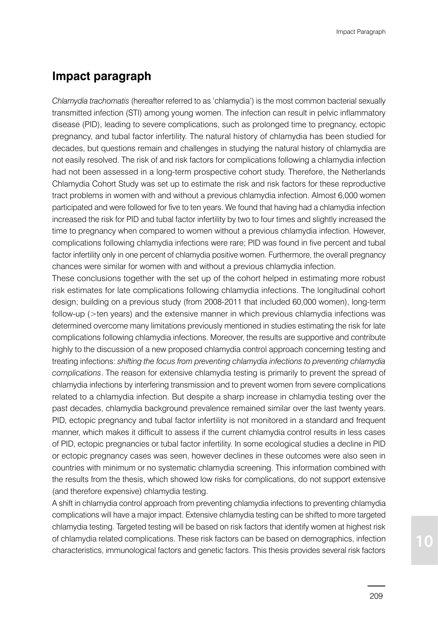# **Impact paragraph**

*Chlamydia trachomatis* (hereafter referred to as 'chlamydia') is the most common bacterial sexually transmitted infection (STI) among young women. The infection can result in pelvic inflammatory disease (PID), leading to severe complications, such as prolonged time to pregnancy, ectopic pregnancy, and tubal factor infertility. The natural history of chlamydia has been studied for decades, but questions remain and challenges in studying the natural history of chlamydia are not easily resolved. The risk of and risk factors for complications following a chlamydia infection had not been assessed in a long-term prospective cohort study. Therefore, the Netherlands Chlamydia Cohort Study was set up to estimate the risk and risk factors for these reproductive tract problems in women with and without a previous chlamydia infection. Almost 6,000 women participated and were followed for five to ten years. We found that having had a chlamydia infection increased the risk for PID and tubal factor infertility by two to four times and slightly increased the time to pregnancy when compared to women without a previous chlamydia infection. However, complications following chlamydia infections were rare; PID was found in five percent and tubal factor infertility only in one percent of chlamydia positive women. Furthermore, the overall pregnancy chances were similar for women with and without a previous chlamydia infection.

These conclusions together with the set up of the cohort helped in estimating more robust risk estimates for late complications following chlamydia infections. The longitudinal cohort design; building on a previous study (from 2008-2011 that included 60,000 women), long-term follow-up (>ten years) and the extensive manner in which previous chlamydia infections was determined overcome many limitations previously mentioned in studies estimating the risk for late complications following chlamydia infections. Moreover, the results are supportive and contribute highly to the discussion of a new proposed chlamydia control approach concerning testing and treating infections: *shifting the focus from preventing chlamydia infections to preventing chlamydia complications*. The reason for extensive chlamydia testing is primarily to prevent the spread of chlamydia infections by interfering transmission and to prevent women from severe complications related to a chlamydia infection. But despite a sharp increase in chlamydia testing over the past decades, chlamydia background prevalence remained similar over the last twenty years. PID, ectopic pregnancy and tubal factor infertility is not monitored in a standard and frequent manner, which makes it difficult to assess if the current chlamydia control results in less cases of PID, ectopic pregnancies or tubal factor infertility. In some ecological studies a decline in PID or ectopic pregnancy cases was seen, however declines in these outcomes were also seen in countries with minimum or no systematic chlamydia screening. This information combined with the results from the thesis, which showed low risks for complications, do not support extensive (and therefore expensive) chlamydia testing.

A shift in chlamydia control approach from preventing chlamydia infections to preventing chlamydia complications will have a major impact. Extensive chlamydia testing can be shifted to more targeted chlamydia testing. Targeted testing will be based on risk factors that identify women at highest risk of chlamydia related complications. These risk factors can be based on demographics, infection characteristics, immunological factors and genetic factors. This thesis provides several risk factors